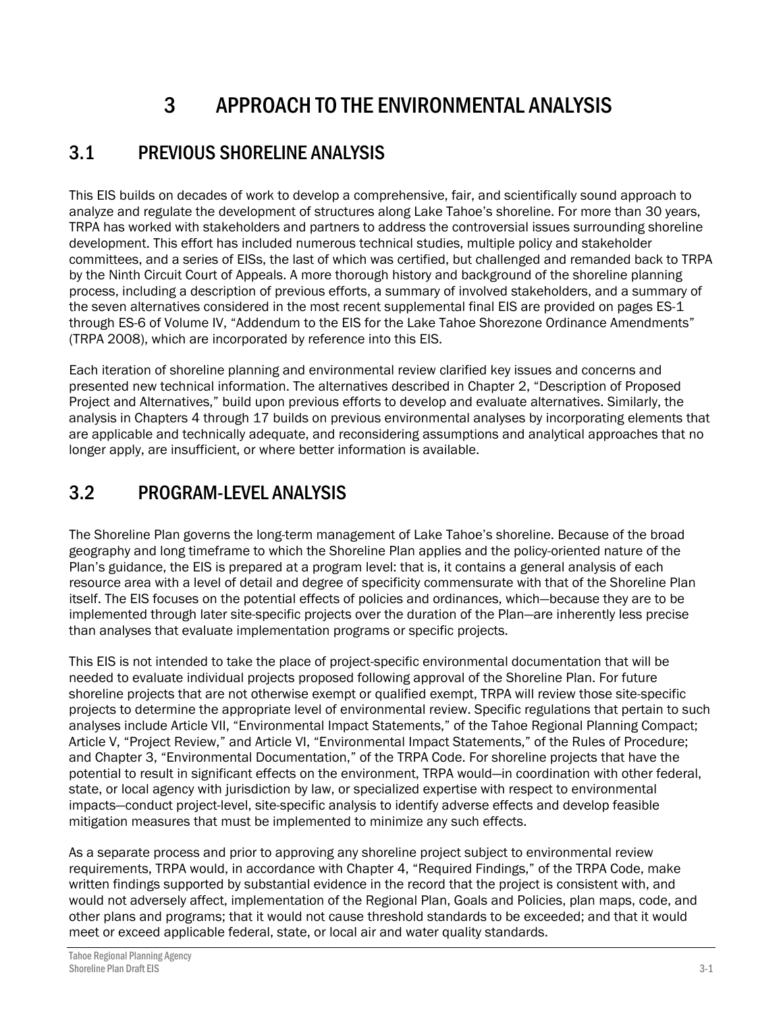# 3 APPROACH TO THE ENVIRONMENTAL ANALYSIS

# 3.1 PREVIOUS SHORELINE ANALYSIS

This EIS builds on decades of work to develop a comprehensive, fair, and scientifically sound approach to analyze and regulate the development of structures along Lake Tahoe's shoreline. For more than 30 years, TRPA has worked with stakeholders and partners to address the controversial issues surrounding shoreline development. This effort has included numerous technical studies, multiple policy and stakeholder committees, and a series of EISs, the last of which was certified, but challenged and remanded back to TRPA by the Ninth Circuit Court of Appeals. A more thorough history and background of the shoreline planning process, including a description of previous efforts, a summary of involved stakeholders, and a summary of the seven alternatives considered in the most recent supplemental final EIS are provided on pages ES-1 through ES-6 of Volume IV, "Addendum to the EIS for the Lake Tahoe Shorezone Ordinance Amendments" (TRPA 2008), which are incorporated by reference into this EIS.

Each iteration of shoreline planning and environmental review clarified key issues and concerns and presented new technical information. The alternatives described in Chapter 2, "Description of Proposed Project and Alternatives," build upon previous efforts to develop and evaluate alternatives. Similarly, the analysis in Chapters 4 through 17 builds on previous environmental analyses by incorporating elements that are applicable and technically adequate, and reconsidering assumptions and analytical approaches that no longer apply, are insufficient, or where better information is available.

# 3.2 PROGRAM-LEVEL ANALYSIS

The Shoreline Plan governs the long-term management of Lake Tahoe's shoreline. Because of the broad geography and long timeframe to which the Shoreline Plan applies and the policy-oriented nature of the Plan's guidance, the EIS is prepared at a program level: that is, it contains a general analysis of each resource area with a level of detail and degree of specificity commensurate with that of the Shoreline Plan itself. The EIS focuses on the potential effects of policies and ordinances, which—because they are to be implemented through later site-specific projects over the duration of the Plan—are inherently less precise than analyses that evaluate implementation programs or specific projects.

This EIS is not intended to take the place of project-specific environmental documentation that will be needed to evaluate individual projects proposed following approval of the Shoreline Plan. For future shoreline projects that are not otherwise exempt or qualified exempt, TRPA will review those site-specific projects to determine the appropriate level of environmental review. Specific regulations that pertain to such analyses include Article VII, "Environmental Impact Statements," of the Tahoe Regional Planning Compact; Article V, "Project Review," and Article VI, "Environmental Impact Statements," of the Rules of Procedure; and Chapter 3, "Environmental Documentation," of the TRPA Code. For shoreline projects that have the potential to result in significant effects on the environment, TRPA would—in coordination with other federal, state, or local agency with jurisdiction by law, or specialized expertise with respect to environmental impacts—conduct project-level, site-specific analysis to identify adverse effects and develop feasible mitigation measures that must be implemented to minimize any such effects.

As a separate process and prior to approving any shoreline project subject to environmental review requirements, TRPA would, in accordance with Chapter 4, "Required Findings," of the TRPA Code, make written findings supported by substantial evidence in the record that the project is consistent with, and would not adversely affect, implementation of the Regional Plan, Goals and Policies, plan maps, code, and other plans and programs; that it would not cause threshold standards to be exceeded; and that it would meet or exceed applicable federal, state, or local air and water quality standards.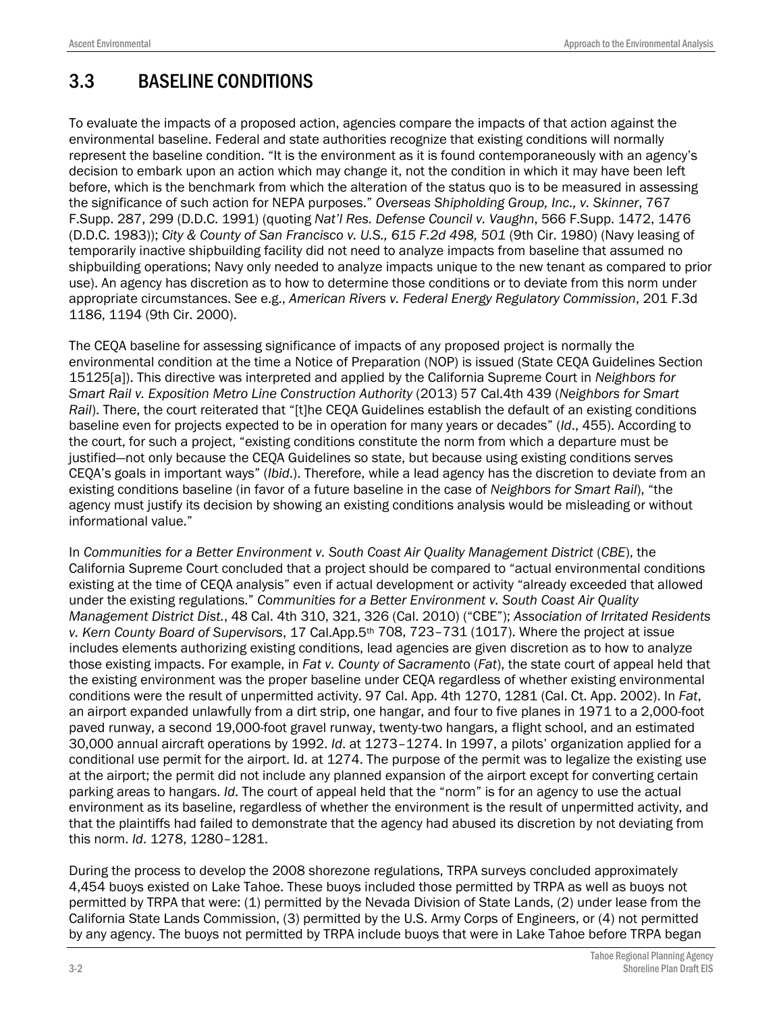# 3.3 BASELINE CONDITIONS

To evaluate the impacts of a proposed action, agencies compare the impacts of that action against the environmental baseline. Federal and state authorities recognize that existing conditions will normally represent the baseline condition. "It is the environment as it is found contemporaneously with an agency's decision to embark upon an action which may change it, not the condition in which it may have been left before, which is the benchmark from which the alteration of the status quo is to be measured in assessing the significance of such action for NEPA purposes." *Overseas Shipholding Group, Inc., v. Skinner*, 767 F.Supp. 287, 299 (D.D.C. 1991) (quoting *Nat'l Res. Defense Council v. Vaughn*, 566 F.Supp. 1472, 1476 (D.D.C. 1983)); *City & County of San Francisco v. U.S., 615 F.2d 498, 501* (9th Cir. 1980) (Navy leasing of temporarily inactive shipbuilding facility did not need to analyze impacts from baseline that assumed no shipbuilding operations; Navy only needed to analyze impacts unique to the new tenant as compared to prior use). An agency has discretion as to how to determine those conditions or to deviate from this norm under appropriate circumstances. See e.g., *American Rivers v. Federal Energy Regulatory Commission*, 201 F.3d 1186, 1194 (9th Cir. 2000).

The CEQA baseline for assessing significance of impacts of any proposed project is normally the environmental condition at the time a Notice of Preparation (NOP) is issued (State CEQA Guidelines Section 15125[a]). This directive was interpreted and applied by the California Supreme Court in *Neighbors for Smart Rail v. Exposition Metro Line Construction Authority* (2013) 57 Cal.4th 439 (*Neighbors for Smart Rail*). There, the court reiterated that "[t]he CEQA Guidelines establish the default of an existing conditions baseline even for projects expected to be in operation for many years or decades" (*Id*., 455). According to the court, for such a project, "existing conditions constitute the norm from which a departure must be justified—not only because the CEQA Guidelines so state, but because using existing conditions serves CEQA's goals in important ways" (*Ibid*.). Therefore, while a lead agency has the discretion to deviate from an existing conditions baseline (in favor of a future baseline in the case of *Neighbors for Smart Rail*), "the agency must justify its decision by showing an existing conditions analysis would be misleading or without informational value."

In *Communities for a Better Environment v. South Coast Air Quality Management District* (*CBE*), the California Supreme Court concluded that a project should be compared to "actual environmental conditions existing at the time of CEQA analysis" even if actual development or activity "already exceeded that allowed under the existing regulations." *Communities for a Better Environment v. South Coast Air Quality Management District Dist.*, 48 Cal. 4th 310, 321, 326 (Cal. 2010) ("CBE"); *Association of Irritated Residents v. Kern County Board of Supervisors*, 17 Cal.App.5th 708, 723–731 (1017). Where the project at issue includes elements authorizing existing conditions, lead agencies are given discretion as to how to analyze those existing impacts. For example, in *Fat v. County of Sacrament*o (*Fat*), the state court of appeal held that the existing environment was the proper baseline under CEQA regardless of whether existing environmental conditions were the result of unpermitted activity. 97 Cal. App. 4th 1270, 1281 (Cal. Ct. App. 2002). In *Fat*, an airport expanded unlawfully from a dirt strip, one hangar, and four to five planes in 1971 to a 2,000-foot paved runway, a second 19,000-foot gravel runway, twenty-two hangars, a flight school, and an estimated 30,000 annual aircraft operations by 1992. *Id*. at 1273–1274. In 1997, a pilots' organization applied for a conditional use permit for the airport. Id. at 1274. The purpose of the permit was to legalize the existing use at the airport; the permit did not include any planned expansion of the airport except for converting certain parking areas to hangars. *Id*. The court of appeal held that the "norm" is for an agency to use the actual environment as its baseline, regardless of whether the environment is the result of unpermitted activity, and that the plaintiffs had failed to demonstrate that the agency had abused its discretion by not deviating from this norm. *Id*. 1278, 1280–1281.

During the process to develop the 2008 shorezone regulations, TRPA surveys concluded approximately 4,454 buoys existed on Lake Tahoe. These buoys included those permitted by TRPA as well as buoys not permitted by TRPA that were: (1) permitted by the Nevada Division of State Lands, (2) under lease from the California State Lands Commission, (3) permitted by the U.S. Army Corps of Engineers, or (4) not permitted by any agency. The buoys not permitted by TRPA include buoys that were in Lake Tahoe before TRPA began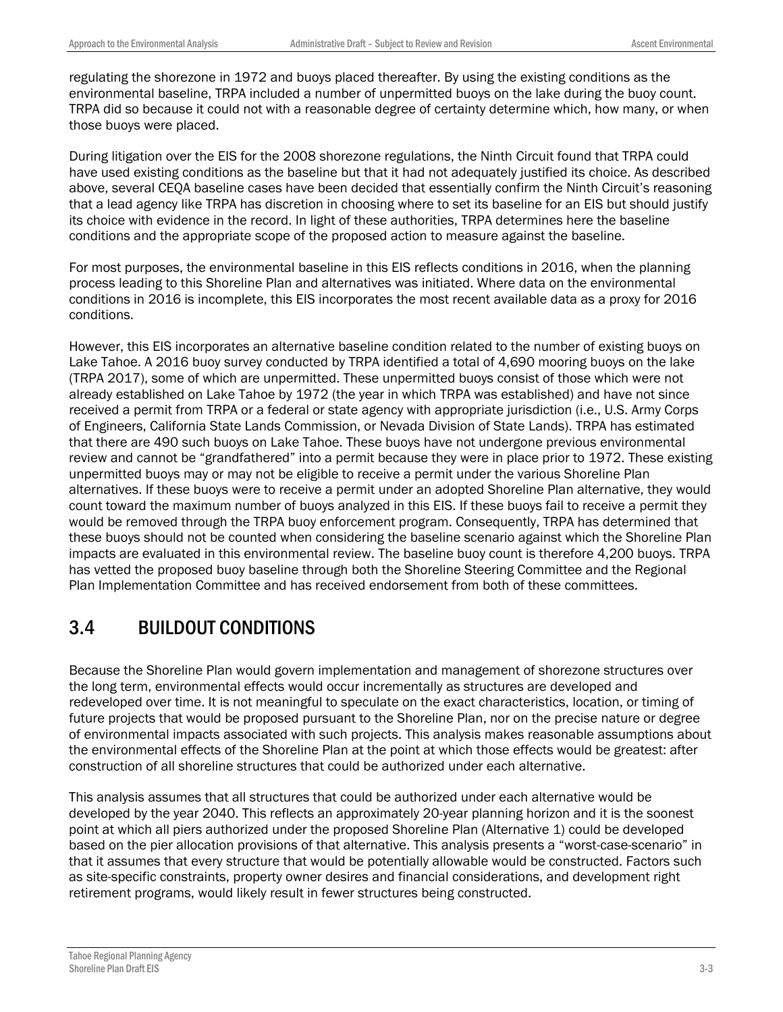regulating the shorezone in 1972 and buoys placed thereafter. By using the existing conditions as the environmental baseline, TRPA included a number of unpermitted buoys on the lake during the buoy count. TRPA did so because it could not with a reasonable degree of certainty determine which, how many, or when those buoys were placed.

During litigation over the EIS for the 2008 shorezone regulations, the Ninth Circuit found that TRPA could have used existing conditions as the baseline but that it had not adequately justified its choice. As described above, several CEQA baseline cases have been decided that essentially confirm the Ninth Circuit's reasoning that a lead agency like TRPA has discretion in choosing where to set its baseline for an EIS but should justify its choice with evidence in the record. In light of these authorities, TRPA determines here the baseline conditions and the appropriate scope of the proposed action to measure against the baseline.

For most purposes, the environmental baseline in this EIS reflects conditions in 2016, when the planning process leading to this Shoreline Plan and alternatives was initiated. Where data on the environmental conditions in 2016 is incomplete, this EIS incorporates the most recent available data as a proxy for 2016 conditions.

However, this EIS incorporates an alternative baseline condition related to the number of existing buoys on Lake Tahoe. A 2016 buoy survey conducted by TRPA identified a total of 4,690 mooring buoys on the lake (TRPA 2017), some of which are unpermitted. These unpermitted buoys consist of those which were not already established on Lake Tahoe by 1972 (the year in which TRPA was established) and have not since received a permit from TRPA or a federal or state agency with appropriate jurisdiction (i.e., U.S. Army Corps of Engineers, California State Lands Commission, or Nevada Division of State Lands). TRPA has estimated that there are 490 such buoys on Lake Tahoe. These buoys have not undergone previous environmental review and cannot be "grandfathered" into a permit because they were in place prior to 1972. These existing unpermitted buoys may or may not be eligible to receive a permit under the various Shoreline Plan alternatives. If these buoys were to receive a permit under an adopted Shoreline Plan alternative, they would count toward the maximum number of buoys analyzed in this EIS. If these buoys fail to receive a permit they would be removed through the TRPA buoy enforcement program. Consequently, TRPA has determined that these buoys should not be counted when considering the baseline scenario against which the Shoreline Plan impacts are evaluated in this environmental review. The baseline buoy count is therefore 4,200 buoys. TRPA has vetted the proposed buoy baseline through both the Shoreline Steering Committee and the Regional Plan Implementation Committee and has received endorsement from both of these committees.

#### 3.4 BUILDOUT CONDITIONS

Because the Shoreline Plan would govern implementation and management of shorezone structures over the long term, environmental effects would occur incrementally as structures are developed and redeveloped over time. It is not meaningful to speculate on the exact characteristics, location, or timing of future projects that would be proposed pursuant to the Shoreline Plan, nor on the precise nature or degree of environmental impacts associated with such projects. This analysis makes reasonable assumptions about the environmental effects of the Shoreline Plan at the point at which those effects would be greatest: after construction of all shoreline structures that could be authorized under each alternative.

This analysis assumes that all structures that could be authorized under each alternative would be developed by the year 2040. This reflects an approximately 20-year planning horizon and it is the soonest point at which all piers authorized under the proposed Shoreline Plan (Alternative 1) could be developed based on the pier allocation provisions of that alternative. This analysis presents a "worst-case-scenario" in that it assumes that every structure that would be potentially allowable would be constructed. Factors such as site-specific constraints, property owner desires and financial considerations, and development right retirement programs, would likely result in fewer structures being constructed.